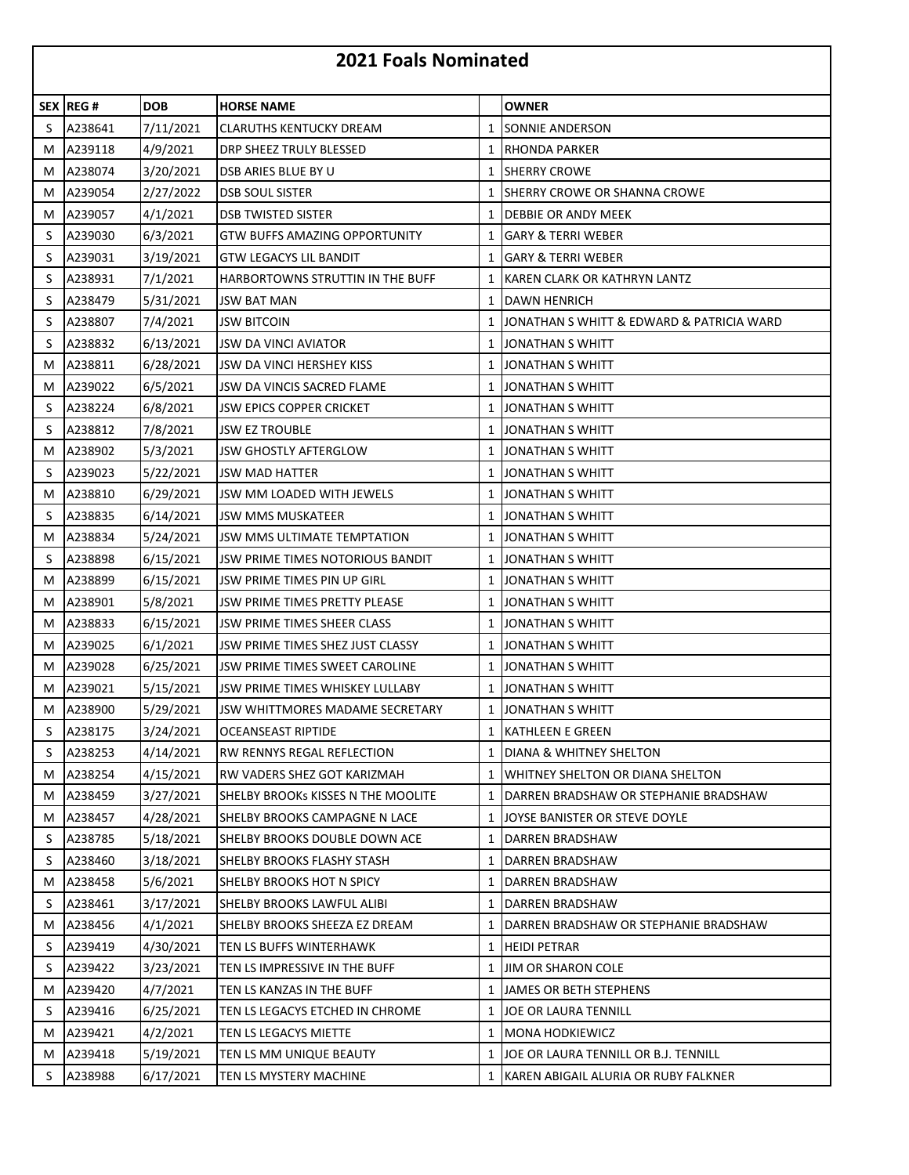## **2021 Foals Nominated**

|   | <b>SEX REG #</b> | <b>DOB</b> | <b>HORSE NAME</b>                    |              | OWNER                                     |
|---|------------------|------------|--------------------------------------|--------------|-------------------------------------------|
| S | A238641          | 7/11/2021  | <b>CLARUTHS KENTUCKY DREAM</b>       | 1            | <b>SONNIE ANDERSON</b>                    |
| M | A239118          | 4/9/2021   | DRP SHEEZ TRULY BLESSED              |              | 1 RHONDA PARKER                           |
| м | A238074          | 3/20/2021  | DSB ARIES BLUE BY U                  | 1            | <b>SHERRY CROWE</b>                       |
| M | A239054          | 2/27/2022  | <b>DSB SOUL SISTER</b>               | 1            | ISHERRY CROWE OR SHANNA CROWE             |
| M | A239057          | 4/1/2021   | <b>DSB TWISTED SISTER</b>            | 1            | DEBBIE OR ANDY MEEK                       |
| S | A239030          | 6/3/2021   | <b>GTW BUFFS AMAZING OPPORTUNITY</b> | 1            | <b>GARY &amp; TERRI WEBER</b>             |
| S | A239031          | 3/19/2021  | <b>GTW LEGACYS LIL BANDIT</b>        | 1            | <b>GARY &amp; TERRI WEBER</b>             |
| S | A238931          | 7/1/2021   | HARBORTOWNS STRUTTIN IN THE BUFF     | $\mathbf{1}$ | KAREN CLARK OR KATHRYN LANTZ              |
| S | A238479          | 5/31/2021  | <b>JSW BAT MAN</b>                   | 1            | <b>DAWN HENRICH</b>                       |
| S | A238807          | 7/4/2021   | <b>JSW BITCOIN</b>                   | 1            | JONATHAN S WHITT & EDWARD & PATRICIA WARD |
| S | A238832          | 6/13/2021  | <b>JSW DA VINCI AVIATOR</b>          | 1            | <b>JONATHAN S WHITT</b>                   |
| M | A238811          | 6/28/2021  | JSW DA VINCI HERSHEY KISS            |              | 1 JONATHAN S WHITT                        |
| M | A239022          | 6/5/2021   | JSW DA VINCIS SACRED FLAME           | 1            | <b>JONATHAN S WHITT</b>                   |
| S | A238224          | 6/8/2021   | <b>JSW EPICS COPPER CRICKET</b>      |              | 1 JONATHAN S WHITT                        |
| S | A238812          | 7/8/2021   | <b>JSW EZ TROUBLE</b>                | 1            | <b>JONATHAN S WHITT</b>                   |
| M | A238902          | 5/3/2021   | <b>JSW GHOSTLY AFTERGLOW</b>         | 1            | <b>JONATHAN S WHITT</b>                   |
| S | A239023          | 5/22/2021  | JSW MAD HATTER                       | 1            | <b>JONATHAN S WHITT</b>                   |
| М | A238810          | 6/29/2021  | JSW MM LOADED WITH JEWELS            | 1            | <b>JONATHAN S WHITT</b>                   |
| S | A238835          | 6/14/2021  | JSW MMS MUSKATEER                    |              | 1 JONATHAN S WHITT                        |
| M | A238834          | 5/24/2021  | JSW MMS ULTIMATE TEMPTATION          | 1            | <b>JONATHAN S WHITT</b>                   |
| S | A238898          | 6/15/2021  | JSW PRIME TIMES NOTORIOUS BANDIT     |              | 1 JONATHAN S WHITT                        |
| м | A238899          | 6/15/2021  | JSW PRIME TIMES PIN UP GIRL          | 1            | <b>JONATHAN S WHITT</b>                   |
| M | A238901          | 5/8/2021   | JSW PRIME TIMES PRETTY PLEASE        | 1            | <b>JONATHAN S WHITT</b>                   |
| M | A238833          | 6/15/2021  | JSW PRIME TIMES SHEER CLASS          | 1            | JONATHAN S WHITT                          |
| M | A239025          | 6/1/2021   | JSW PRIME TIMES SHEZ JUST CLASSY     | 1            | <b>JONATHAN S WHITT</b>                   |
| M | A239028          | 6/25/2021  | JSW PRIME TIMES SWEET CAROLINE       |              | 1 JONATHAN S WHITT                        |
| M | A239021          | 5/15/2021  | JSW PRIME TIMES WHISKEY LULLABY      | 1            | <b>JONATHAN S WHITT</b>                   |
| M | A238900          | 5/29/2021  | JSW WHITTMORES MADAME SECRETARY      |              | 1 JONATHAN S WHITT                        |
| S | A238175          | 3/24/2021  | OCEANSEAST RIPTIDE                   | 1            | <b>KATHLEEN E GREEN</b>                   |
| S | A238253          | 4/14/2021  | <b>RW RENNYS REGAL REFLECTION</b>    |              | 1 DIANA & WHITNEY SHELTON                 |
| M | A238254          | 4/15/2021  | RW VADERS SHEZ GOT KARIZMAH          | $\mathbf{1}$ | WHITNEY SHELTON OR DIANA SHELTON          |
| M | A238459          | 3/27/2021  | SHELBY BROOKS KISSES N THE MOOLITE   | 1            | DARREN BRADSHAW OR STEPHANIE BRADSHAW     |
| M | A238457          | 4/28/2021  | SHELBY BROOKS CAMPAGNE N LACE        |              | 1 JOYSE BANISTER OR STEVE DOYLE           |
| S | A238785          | 5/18/2021  | SHELBY BROOKS DOUBLE DOWN ACE        | 1            | DARREN BRADSHAW                           |
| S | A238460          | 3/18/2021  | SHELBY BROOKS FLASHY STASH           | 1            | DARREN BRADSHAW                           |
| M | A238458          | 5/6/2021   | SHELBY BROOKS HOT N SPICY            | 1            | DARREN BRADSHAW                           |
| S | A238461          | 3/17/2021  | SHELBY BROOKS LAWFUL ALIBI           | 1            | <b>DARREN BRADSHAW</b>                    |
| M | A238456          | 4/1/2021   | SHELBY BROOKS SHEEZA EZ DREAM        | 1            | DARREN BRADSHAW OR STEPHANIE BRADSHAW     |
| S | A239419          | 4/30/2021  | TEN LS BUFFS WINTERHAWK              | 1            | <b>HEIDI PETRAR</b>                       |
| S | A239422          | 3/23/2021  | TEN LS IMPRESSIVE IN THE BUFF        |              | 1 JIM OR SHARON COLE                      |
| M | A239420          | 4/7/2021   | TEN LS KANZAS IN THE BUFF            | 1            | <b>JAMES OR BETH STEPHENS</b>             |
| S | A239416          | 6/25/2021  | TEN LS LEGACYS ETCHED IN CHROME      | 1            | JOE OR LAURA TENNILL                      |
| M | A239421          | 4/2/2021   | TEN LS LEGACYS MIETTE                | 1            | <b>MONA HODKIEWICZ</b>                    |
| M | A239418          | 5/19/2021  | TEN LS MM UNIQUE BEAUTY              | 1            | JOE OR LAURA TENNILL OR B.J. TENNILL      |
| S | A238988          | 6/17/2021  | TEN LS MYSTERY MACHINE               |              | 1  KAREN ABIGAIL ALURIA OR RUBY FALKNER   |